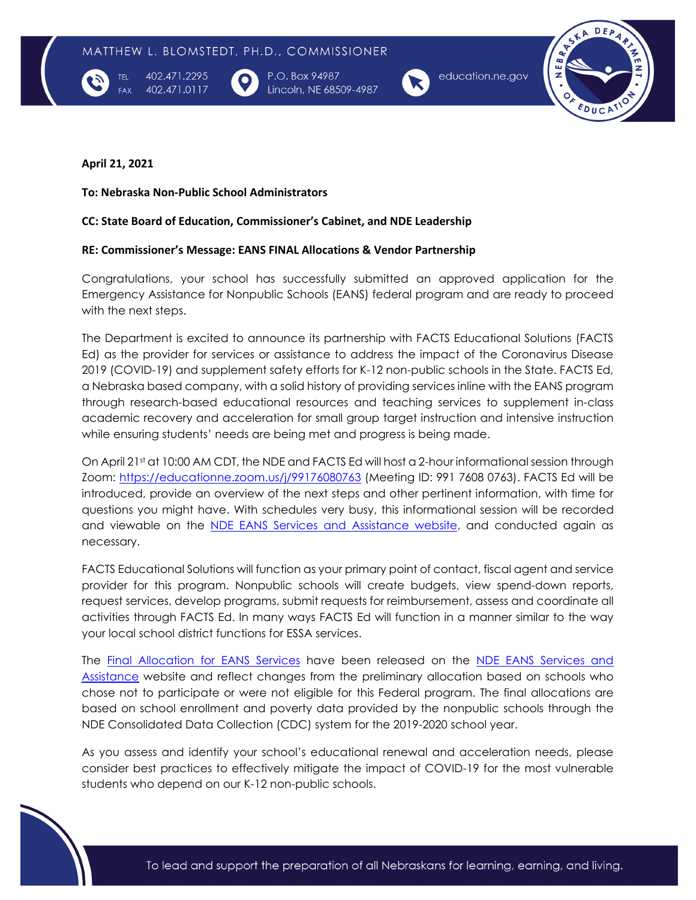

402.471.2295 402.471.0117 P.O. Box 94987 Lincoln, NE 68509-4987



education.ne.gov



## **April 21, 2021**

**TFI** 

**To: Nebraska Non-Public School Administrators** 

## **CC: State Board of Education, Commissioner's Cabinet, and NDE Leadership**

## **RE: Commissioner's Message: EANS FINAL Allocations & Vendor Partnership**

Congratulations, your school has successfully submitted an approved application for the Emergency Assistance for Nonpublic Schools (EANS) federal program and are ready to proceed with the next steps.

The Department is excited to announce its partnership with FACTS Educational Solutions (FACTS Ed) as the provider for services or assistance to address the impact of the Coronavirus Disease 2019 (COVID-19) and supplement safety efforts for K-12 non-public schools in the State. FACTS Ed, a Nebraska based company, with a solid history of providing services inline with the EANS program through research-based educational resources and teaching services to supplement in-class academic recovery and acceleration for small group target instruction and intensive instruction while ensuring students' needs are being met and progress is being made.

On April 21st at 10:00 AM CDT, the NDE and FACTS Ed will host a 2-hour informational session through Zoom:<https://educationne.zoom.us/j/99176080763> (Meeting ID: 991 7608 0763). FACTS Ed will be introduced, provide an overview of the next steps and other pertinent information, with time for questions you might have. With schedules very busy, this informational session will be recorded and viewable on the [NDE EANS Services and Assistance website,](https://www.education.ne.gov/cares-act/eans-services-assistance/) and conducted again as necessary.

FACTS Educational Solutions will function as your primary point of contact, fiscal agent and service provider for this program. Nonpublic schools will create budgets, view spend-down reports, request services, develop programs, submit requests for reimbursement, assess and coordinate all activities through FACTS Ed. In many ways FACTS Ed will function in a manner similar to the way your local school district functions for ESSA services.

The [Final Allocation for EANS Services](https://www.education.ne.gov/wp-content/uploads/2021/04/NDE-EANS-Nonpublic-Final-Allocations.pdf) have been released on the NDE EANS Services and [Assistance](https://www.education.ne.gov/cares-act/eans-services-assistance/) website and reflect changes from the preliminary allocation based on schools who chose not to participate or were not eligible for this Federal program. The final allocations are based on school enrollment and poverty data provided by the nonpublic schools through the NDE Consolidated Data Collection (CDC) system for the 2019-2020 school year.

As you assess and identify your school's educational renewal and acceleration needs, please consider best practices to effectively mitigate the impact of COVID-19 for the most vulnerable students who depend on our K-12 non-public schools.